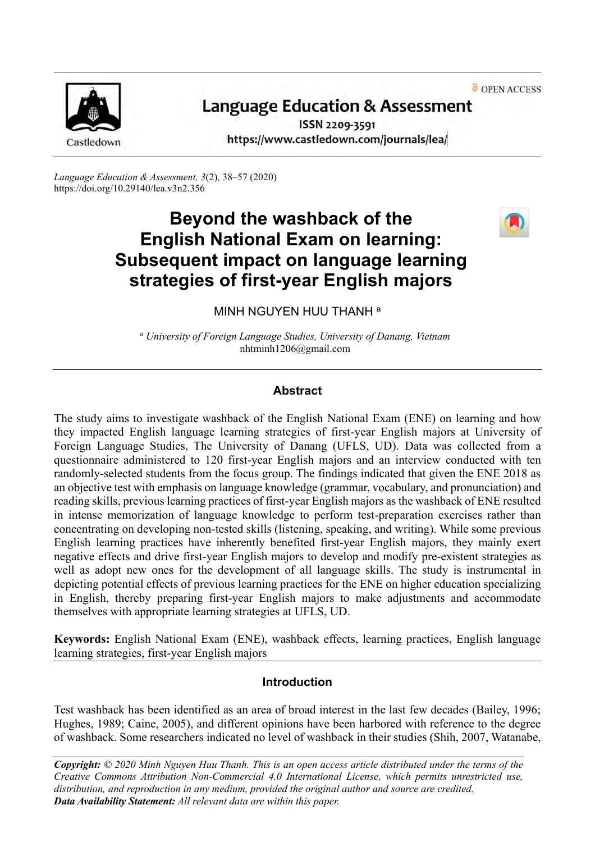OPEN ACCESS



# **Language Education & Assessment**

ISSN 2209-3591 https://www.castledown.com/journals/lea/

*Language Education & Assessment, 3*(2), 38–57 (2020) <https://doi.org/10.29140/lea.v3n2.356>

# **Beyond the washback of the English National Exam on learning: Subsequent impact on language learning strategies of first-year English majors**



## MINH NGUYEN HUU THANH <sup>a</sup>

*<sup>a</sup> University of Foreign Language Studies, University of Danang, Vietnam* nhtminh1206@gmail.com

### **Abstract**

The study aims to investigate washback of the English National Exam (ENE) on learning and how they impacted English language learning strategies of first-year English majors at University of Foreign Language Studies, The University of Danang (UFLS, UD). Data was collected from a questionnaire administered to 120 first-year English majors and an interview conducted with ten randomly-selected students from the focus group. The findings indicated that given the ENE 2018 as an objective test with emphasis on language knowledge (grammar, vocabulary, and pronunciation) and reading skills, previous learning practices of first-year English majors as the washback of ENE resulted in intense memorization of language knowledge to perform test-preparation exercises rather than concentrating on developing non-tested skills (listening, speaking, and writing). While some previous English learning practices have inherently benefited first-year English majors, they mainly exert negative effects and drive first-year English majors to develop and modify pre-existent strategies as well as adopt new ones for the development of all language skills. The study is instrumental in depicting potential effects of previous learning practices for the ENE on higher education specializing in English, thereby preparing first-year English majors to make adjustments and accommodate themselves with appropriate learning strategies at UFLS, UD.

**Keywords:** English National Exam (ENE), washback effects, learning practices, English language learning strategies, first-year English majors

## **Introduction**

Test washback has been identified as an area of broad interest in the last few decades (Bailey, 1996; Hughes, 1989; Caine, 2005), and different opinions have been harbored with reference to the degree of washback. Some researchers indicated no level of washback in their studies (Shih, 2007, Watanabe,

*Copyright: © 2020 Minh Nguyen Huu Thanh. This is an open access article distributed under the terms of the [Creative Commons Attribution Non-Commercial 4.0 International License,](http://creativecommons.org/licenses/by-nc-nd/4.0) which permits unrestricted use, distribution, and reproduction in any medium, provided the original author and source are credited. Data Availability Statement: All relevant data are within this paper.*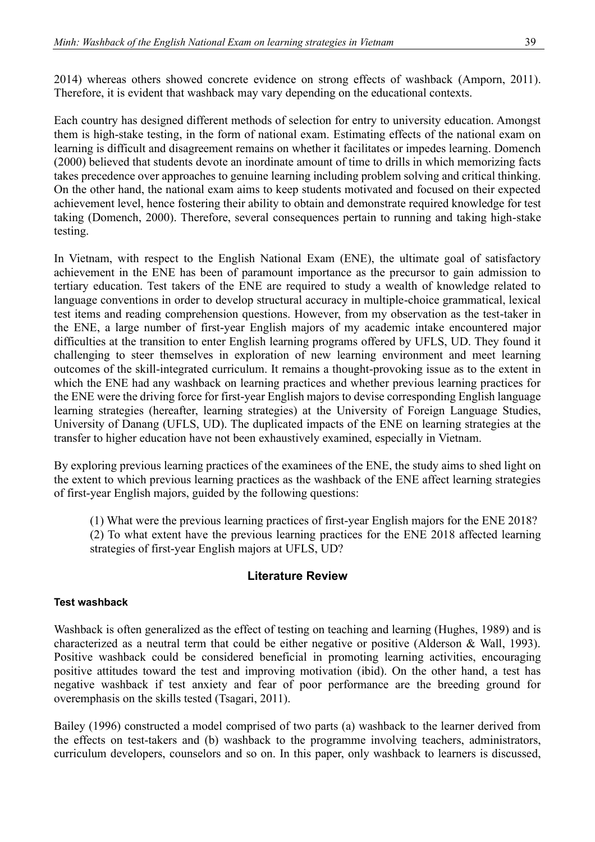2014) whereas others showed concrete evidence on strong effects of washback (Amporn, 2011). Therefore, it is evident that washback may vary depending on the educational contexts.

Each country has designed different methods of selection for entry to university education. Amongst them is high-stake testing, in the form of national exam. Estimating effects of the national exam on learning is difficult and disagreement remains on whether it facilitates or impedes learning. Domench (2000) believed that students devote an inordinate amount of time to drills in which memorizing facts takes precedence over approaches to genuine learning including problem solving and critical thinking. On the other hand, the national exam aims to keep students motivated and focused on their expected achievement level, hence fostering their ability to obtain and demonstrate required knowledge for test taking (Domench, 2000). Therefore, several consequences pertain to running and taking high-stake testing.

In Vietnam, with respect to the English National Exam (ENE), the ultimate goal of satisfactory achievement in the ENE has been of paramount importance as the precursor to gain admission to tertiary education. Test takers of the ENE are required to study a wealth of knowledge related to language conventions in order to develop structural accuracy in multiple-choice grammatical, lexical test items and reading comprehension questions. However, from my observation as the test-taker in the ENE, a large number of first-year English majors of my academic intake encountered major difficulties at the transition to enter English learning programs offered by UFLS, UD. They found it challenging to steer themselves in exploration of new learning environment and meet learning outcomes of the skill-integrated curriculum. It remains a thought-provoking issue as to the extent in which the ENE had any washback on learning practices and whether previous learning practices for the ENE were the driving force for first-year English majors to devise corresponding English language learning strategies (hereafter, learning strategies) at the University of Foreign Language Studies, University of Danang (UFLS, UD). The duplicated impacts of the ENE on learning strategies at the transfer to higher education have not been exhaustively examined, especially in Vietnam.

By exploring previous learning practices of the examinees of the ENE, the study aims to shed light on the extent to which previous learning practices as the washback of the ENE affect learning strategies of first-year English majors, guided by the following questions:

(1) What were the previous learning practices of first-year English majors for the ENE 2018? (2) To what extent have the previous learning practices for the ENE 2018 affected learning strategies of first-year English majors at UFLS, UD?

## **Literature Review**

#### **Test washback**

Washback is often generalized as the effect of testing on teaching and learning (Hughes, 1989) and is characterized as a neutral term that could be either negative or positive (Alderson & Wall, 1993). Positive washback could be considered beneficial in promoting learning activities, encouraging positive attitudes toward the test and improving motivation (ibid). On the other hand, a test has negative washback if test anxiety and fear of poor performance are the breeding ground for overemphasis on the skills tested (Tsagari, 2011).

Bailey (1996) constructed a model comprised of two parts (a) washback to the learner derived from the effects on test-takers and (b) washback to the programme involving teachers, administrators, curriculum developers, counselors and so on. In this paper, only washback to learners is discussed,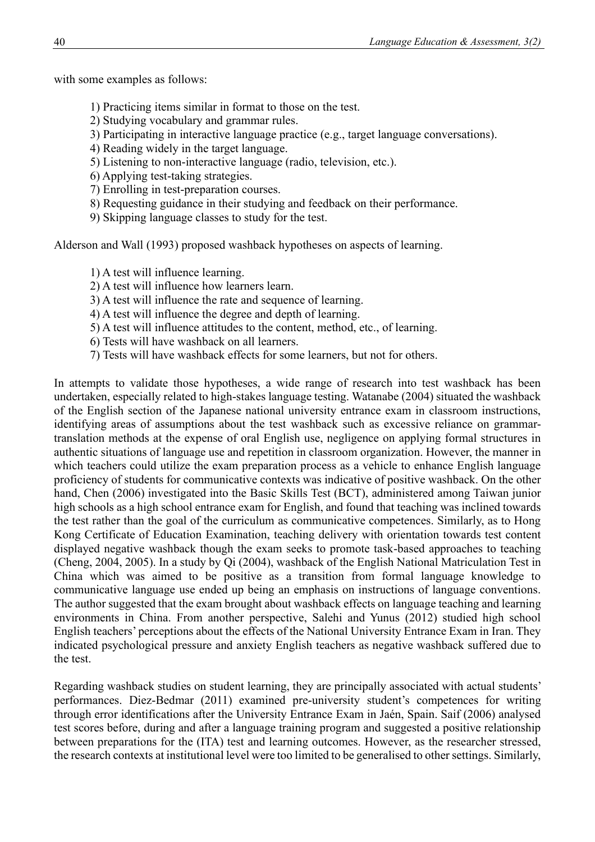with some examples as follows:

- 1) Practicing items similar in format to those on the test.
- 2) Studying vocabulary and grammar rules.
- 3) Participating in interactive language practice (e.g., target language conversations).
- 4) Reading widely in the target language.
- 5) Listening to non-interactive language (radio, television, etc.).
- 6) Applying test-taking strategies.
- 7) Enrolling in test-preparation courses.
- 8) Requesting guidance in their studying and feedback on their performance.
- 9) Skipping language classes to study for the test.

Alderson and Wall (1993) proposed washback hypotheses on aspects of learning.

- 1) A test will influence learning.
- 2) A test will influence how learners learn.
- 3) A test will influence the rate and sequence of learning.
- 4) A test will influence the degree and depth of learning.
- 5) A test will influence attitudes to the content, method, etc., of learning.
- 6) Tests will have washback on all learners.
- 7) Tests will have washback effects for some learners, but not for others.

In attempts to validate those hypotheses, a wide range of research into test washback has been undertaken, especially related to high-stakes language testing. Watanabe (2004) situated the washback of the English section of the Japanese national university entrance exam in classroom instructions, identifying areas of assumptions about the test washback such as excessive reliance on grammartranslation methods at the expense of oral English use, negligence on applying formal structures in authentic situations of language use and repetition in classroom organization. However, the manner in which teachers could utilize the exam preparation process as a vehicle to enhance English language proficiency of students for communicative contexts was indicative of positive washback. On the other hand, Chen (2006) investigated into the Basic Skills Test (BCT), administered among Taiwan junior high schools as a high school entrance exam for English, and found that teaching was inclined towards the test rather than the goal of the curriculum as communicative competences. Similarly, as to Hong Kong Certificate of Education Examination, teaching delivery with orientation towards test content displayed negative washback though the exam seeks to promote task-based approaches to teaching (Cheng, 2004, 2005). In a study by Qi (2004), washback of the English National Matriculation Test in China which was aimed to be positive as a transition from formal language knowledge to communicative language use ended up being an emphasis on instructions of language conventions. The author suggested that the exam brought about washback effects on language teaching and learning environments in China. From another perspective, Salehi and Yunus (2012) studied high school English teachers' perceptions about the effects of the National University Entrance Exam in Iran. They indicated psychological pressure and anxiety English teachers as negative washback suffered due to the test.

Regarding washback studies on student learning, they are principally associated with actual students' performances. Diez-Bedmar (2011) examined pre-university student's competences for writing through error identifications after the University Entrance Exam in Jaén, Spain. Saif (2006) analysed test scores before, during and after a language training program and suggested a positive relationship between preparations for the (ITA) test and learning outcomes. However, as the researcher stressed, the research contexts at institutional level were too limited to be generalised to other settings. Similarly,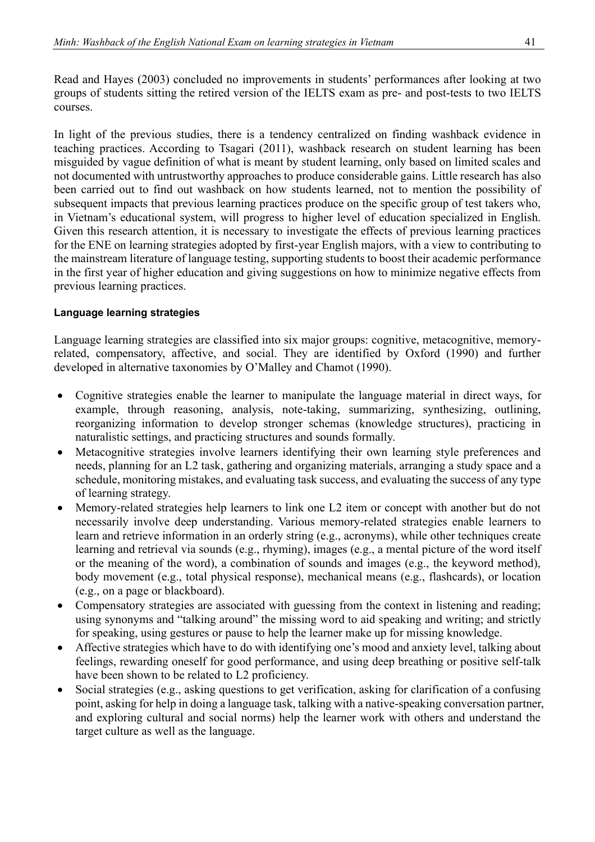Read and Hayes (2003) concluded no improvements in students' performances after looking at two groups of students sitting the retired version of the IELTS exam as pre- and post-tests to two IELTS courses.

In light of the previous studies, there is a tendency centralized on finding washback evidence in teaching practices. According to Tsagari (2011), washback research on student learning has been misguided by vague definition of what is meant by student learning, only based on limited scales and not documented with untrustworthy approaches to produce considerable gains. Little research has also been carried out to find out washback on how students learned, not to mention the possibility of subsequent impacts that previous learning practices produce on the specific group of test takers who, in Vietnam's educational system, will progress to higher level of education specialized in English. Given this research attention, it is necessary to investigate the effects of previous learning practices for the ENE on learning strategies adopted by first-year English majors, with a view to contributing to the mainstream literature of language testing, supporting students to boost their academic performance in the first year of higher education and giving suggestions on how to minimize negative effects from previous learning practices.

## **Language learning strategies**

Language learning strategies are classified into six major groups: cognitive, metacognitive, memoryrelated, compensatory, affective, and social. They are identified by Oxford (1990) and further developed in alternative taxonomies by O'Malley and Chamot (1990).

- Cognitive strategies enable the learner to manipulate the language material in direct ways, for example, through reasoning, analysis, note-taking, summarizing, synthesizing, outlining, reorganizing information to develop stronger schemas (knowledge structures), practicing in naturalistic settings, and practicing structures and sounds formally.
- Metacognitive strategies involve learners identifying their own learning style preferences and needs, planning for an L2 task, gathering and organizing materials, arranging a study space and a schedule, monitoring mistakes, and evaluating task success, and evaluating the success of any type of learning strategy.
- Memory-related strategies help learners to link one L2 item or concept with another but do not necessarily involve deep understanding. Various memory-related strategies enable learners to learn and retrieve information in an orderly string (e.g., acronyms), while other techniques create learning and retrieval via sounds (e.g., rhyming), images (e.g., a mental picture of the word itself or the meaning of the word), a combination of sounds and images (e.g., the keyword method), body movement (e.g., total physical response), mechanical means (e.g., flashcards), or location (e.g., on a page or blackboard).
- Compensatory strategies are associated with guessing from the context in listening and reading; using synonyms and "talking around" the missing word to aid speaking and writing; and strictly for speaking, using gestures or pause to help the learner make up for missing knowledge.
- Affective strategies which have to do with identifying one's mood and anxiety level, talking about feelings, rewarding oneself for good performance, and using deep breathing or positive self-talk have been shown to be related to L2 proficiency.
- Social strategies (e.g., asking questions to get verification, asking for clarification of a confusing point, asking for help in doing a language task, talking with a native-speaking conversation partner, and exploring cultural and social norms) help the learner work with others and understand the target culture as well as the language.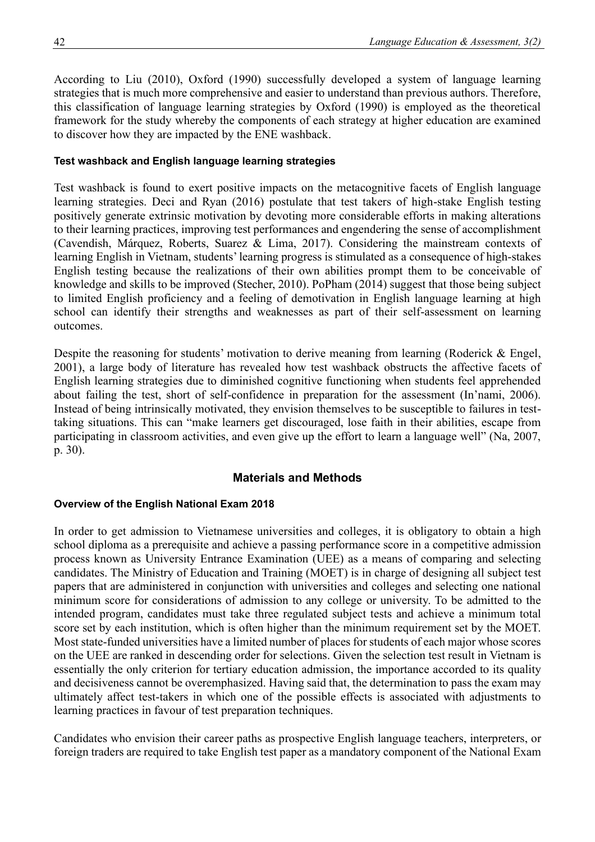According to Liu (2010), Oxford (1990) successfully developed a system of language learning strategies that is much more comprehensive and easier to understand than previous authors. Therefore, this classification of language learning strategies by Oxford (1990) is employed as the theoretical framework for the study whereby the components of each strategy at higher education are examined to discover how they are impacted by the ENE washback.

### **Test washback and English language learning strategies**

Test washback is found to exert positive impacts on the metacognitive facets of English language learning strategies. Deci and Ryan (2016) postulate that test takers of high-stake English testing positively generate extrinsic motivation by devoting more considerable efforts in making alterations to their learning practices, improving test performances and engendering the sense of accomplishment (Cavendish, Márquez, Roberts, Suarez & Lima, 2017). Considering the mainstream contexts of learning English in Vietnam, students' learning progress is stimulated as a consequence of high-stakes English testing because the realizations of their own abilities prompt them to be conceivable of knowledge and skills to be improved (Stecher, 2010). PoPham (2014) suggest that those being subject to limited English proficiency and a feeling of demotivation in English language learning at high school can identify their strengths and weaknesses as part of their self-assessment on learning outcomes.

Despite the reasoning for students' motivation to derive meaning from learning (Roderick & Engel, 2001), a large body of literature has revealed how test washback obstructs the affective facets of English learning strategies due to diminished cognitive functioning when students feel apprehended about failing the test, short of self-confidence in preparation for the assessment (In'nami, 2006). Instead of being intrinsically motivated, they envision themselves to be susceptible to failures in testtaking situations. This can "make learners get discouraged, lose faith in their abilities, escape from participating in classroom activities, and even give up the effort to learn a language well" (Na, 2007, p. 30).

## **Materials and Methods**

## **Overview of the English National Exam 2018**

In order to get admission to Vietnamese universities and colleges, it is obligatory to obtain a high school diploma as a prerequisite and achieve a passing performance score in a competitive admission process known as University Entrance Examination (UEE) as a means of comparing and selecting candidates. The Ministry of Education and Training (MOET) is in charge of designing all subject test papers that are administered in conjunction with universities and colleges and selecting one national minimum score for considerations of admission to any college or university. To be admitted to the intended program, candidates must take three regulated subject tests and achieve a minimum total score set by each institution, which is often higher than the minimum requirement set by the MOET. Most state-funded universities have a limited number of places for students of each major whose scores on the UEE are ranked in descending order for selections. Given the selection test result in Vietnam is essentially the only criterion for tertiary education admission, the importance accorded to its quality and decisiveness cannot be overemphasized. Having said that, the determination to pass the exam may ultimately affect test-takers in which one of the possible effects is associated with adjustments to learning practices in favour of test preparation techniques.

Candidates who envision their career paths as prospective English language teachers, interpreters, or foreign traders are required to take English test paper as a mandatory component of the National Exam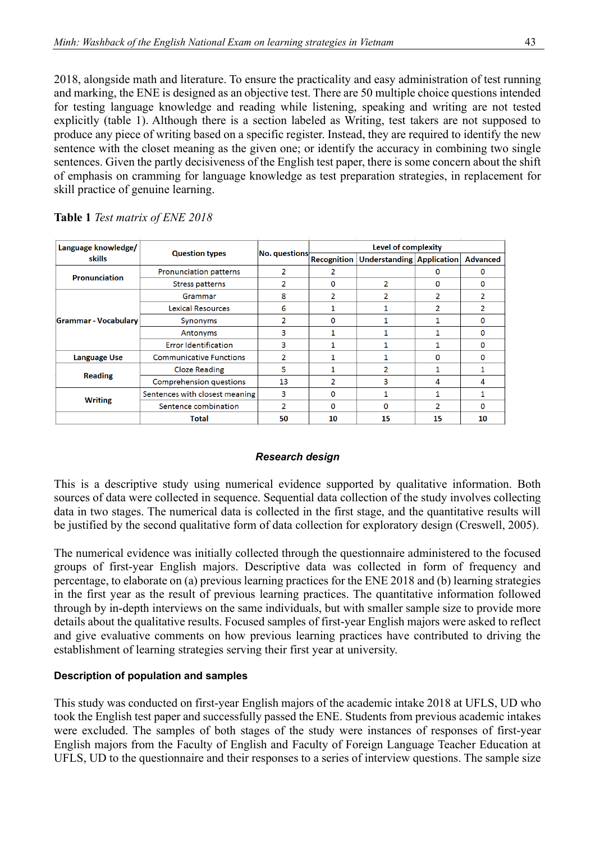2018, alongside math and literature. To ensure the practicality and easy administration of test running and marking, the ENE is designed as an objective test. There are 50 multiple choice questions intended for testing language knowledge and reading while listening, speaking and writing are not tested explicitly (table 1). Although there is a section labeled as Writing, test takers are not supposed to produce any piece of writing based on a specific register. Instead, they are required to identify the new sentence with the closet meaning as the given one; or identify the accuracy in combining two single sentences. Given the partly decisiveness of the English test paper, there is some concern about the shift of emphasis on cramming for language knowledge as test preparation strategies, in replacement for skill practice of genuine learning.

| Language knowledge/         | <b>Question types</b>          | No. questions | Level of complexity |                                  |                |                 |  |
|-----------------------------|--------------------------------|---------------|---------------------|----------------------------------|----------------|-----------------|--|
| skills                      |                                |               | Recognition         | <b>Understanding Application</b> |                | <b>Advanced</b> |  |
| <b>Pronunciation</b>        | <b>Pronunciation patterns</b>  |               | 2                   |                                  |                |                 |  |
|                             | <b>Stress patterns</b>         | 2             | o                   | 2                                | 0              | o               |  |
|                             | Grammar                        | 8             | 2                   |                                  |                |                 |  |
|                             | <b>Lexical Resources</b>       | 6             |                     |                                  | $\overline{2}$ |                 |  |
| <b>Grammar - Vocabulary</b> | <b>Synonyms</b>                | 2             | $\Omega$            |                                  | 1              | o               |  |
|                             | Antonyms                       | 3             |                     |                                  |                | n               |  |
|                             | <b>Error Identification</b>    | 3             |                     |                                  |                | O               |  |
| <b>Language Use</b>         | <b>Communicative Functions</b> | 2             |                     |                                  | o              | n               |  |
| <b>Reading</b>              | <b>Cloze Reading</b>           | 5             |                     | 2                                |                |                 |  |
|                             | <b>Comprehension questions</b> | 13            | $\overline{2}$      | 3                                | 4              |                 |  |
| <b>Writing</b>              | Sentences with closest meaning | 3             | o                   |                                  | 1              |                 |  |
|                             | Sentence combination           | 2             | O                   | o                                | $\mathcal{P}$  | o               |  |
|                             | Total                          | 50            | 10                  | 15                               | 15             | 10              |  |

### **Table 1** *Test matrix of ENE 2018*

#### *Research design*

This is a descriptive study using numerical evidence supported by qualitative information. Both sources of data were collected in sequence. Sequential data collection of the study involves collecting data in two stages. The numerical data is collected in the first stage, and the quantitative results will be justified by the second qualitative form of data collection for exploratory design (Creswell, 2005).

The numerical evidence was initially collected through the questionnaire administered to the focused groups of first-year English majors. Descriptive data was collected in form of frequency and percentage, to elaborate on (a) previous learning practices for the ENE 2018 and (b) learning strategies in the first year as the result of previous learning practices. The quantitative information followed through by in-depth interviews on the same individuals, but with smaller sample size to provide more details about the qualitative results. Focused samples of first-year English majors were asked to reflect and give evaluative comments on how previous learning practices have contributed to driving the establishment of learning strategies serving their first year at university.

## **Description of population and samples**

This study was conducted on first-year English majors of the academic intake 2018 at UFLS, UD who took the English test paper and successfully passed the ENE. Students from previous academic intakes were excluded. The samples of both stages of the study were instances of responses of first-year English majors from the Faculty of English and Faculty of Foreign Language Teacher Education at UFLS, UD to the questionnaire and their responses to a series of interview questions. The sample size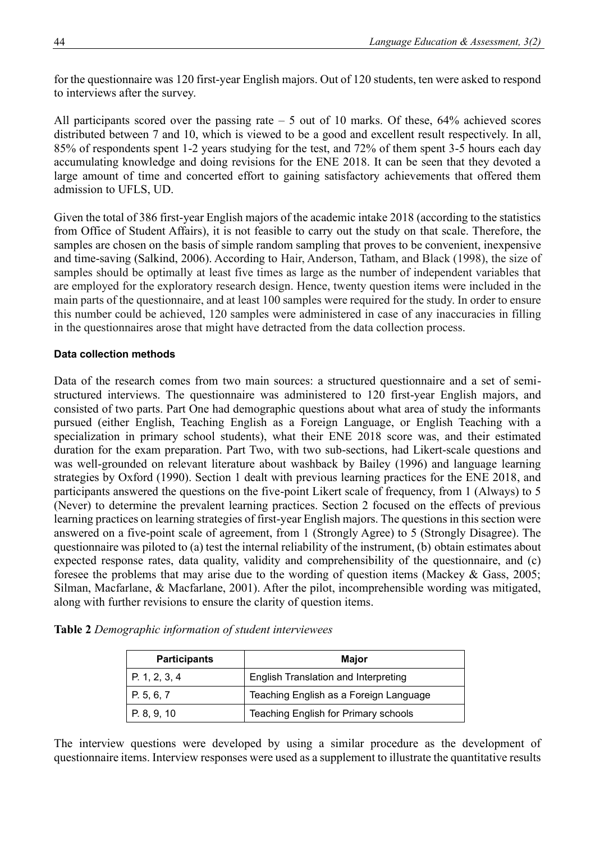for the questionnaire was 120 first-year English majors. Out of 120 students, ten were asked to respond to interviews after the survey.

All participants scored over the passing rate – 5 out of 10 marks. Of these, 64% achieved scores distributed between 7 and 10, which is viewed to be a good and excellent result respectively. In all, 85% of respondents spent 1-2 years studying for the test, and 72% of them spent 3-5 hours each day accumulating knowledge and doing revisions for the ENE 2018. It can be seen that they devoted a large amount of time and concerted effort to gaining satisfactory achievements that offered them admission to UFLS, UD.

Given the total of 386 first-year English majors of the academic intake 2018 (according to the statistics from Office of Student Affairs), it is not feasible to carry out the study on that scale. Therefore, the samples are chosen on the basis of simple random sampling that proves to be convenient, inexpensive and time-saving (Salkind, 2006). According to Hair, Anderson, Tatham, and Black (1998), the size of samples should be optimally at least five times as large as the number of independent variables that are employed for the exploratory research design. Hence, twenty question items were included in the main parts of the questionnaire, and at least 100 samples were required for the study. In order to ensure this number could be achieved, 120 samples were administered in case of any inaccuracies in filling in the questionnaires arose that might have detracted from the data collection process.

## **Data collection methods**

Data of the research comes from two main sources: a structured questionnaire and a set of semistructured interviews. The questionnaire was administered to 120 first-year English majors, and consisted of two parts. Part One had demographic questions about what area of study the informants pursued (either English, Teaching English as a Foreign Language, or English Teaching with a specialization in primary school students), what their ENE 2018 score was, and their estimated duration for the exam preparation. Part Two, with two sub-sections, had Likert-scale questions and was well-grounded on relevant literature about washback by Bailey (1996) and language learning strategies by Oxford (1990). Section 1 dealt with previous learning practices for the ENE 2018, and participants answered the questions on the five-point Likert scale of frequency, from 1 (Always) to 5 (Never) to determine the prevalent learning practices. Section 2 focused on the effects of previous learning practices on learning strategies of first-year English majors. The questions in this section were answered on a five-point scale of agreement, from 1 (Strongly Agree) to 5 (Strongly Disagree). The questionnaire was piloted to (a) test the internal reliability of the instrument, (b) obtain estimates about expected response rates, data quality, validity and comprehensibility of the questionnaire, and (c) foresee the problems that may arise due to the wording of question items (Mackey & Gass, 2005; Silman, Macfarlane, & Macfarlane, 2001). After the pilot, incomprehensible wording was mitigated, along with further revisions to ensure the clarity of question items.

|  | Table 2 Demographic information of student interviewees |
|--|---------------------------------------------------------|
|--|---------------------------------------------------------|

| <b>Participants</b><br><b>Major</b> |                                        |  |
|-------------------------------------|----------------------------------------|--|
| P. 1, 2, 3, 4                       | English Translation and Interpreting   |  |
| P. 5, 6, 7                          | Teaching English as a Foreign Language |  |
| P. 8, 9, 10                         | Teaching English for Primary schools   |  |

The interview questions were developed by using a similar procedure as the development of questionnaire items. Interview responses were used as a supplement to illustrate the quantitative results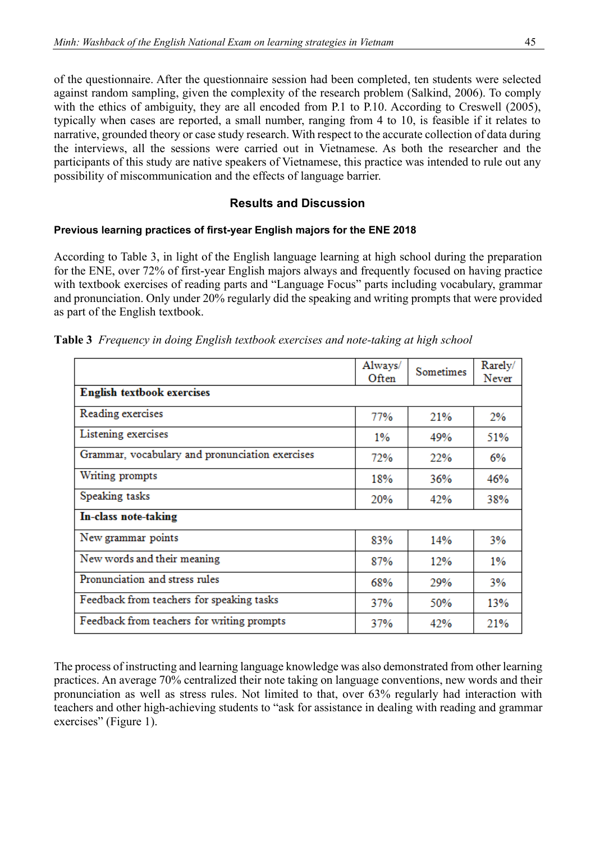of the questionnaire. After the questionnaire session had been completed, ten students were selected against random sampling, given the complexity of the research problem (Salkind, 2006). To comply with the ethics of ambiguity, they are all encoded from P.1 to P.10. According to Creswell (2005), typically when cases are reported, a small number, ranging from 4 to 10, is feasible if it relates to narrative, grounded theory or case study research. With respect to the accurate collection of data during the interviews, all the sessions were carried out in Vietnamese. As both the researcher and the participants of this study are native speakers of Vietnamese, this practice was intended to rule out any possibility of miscommunication and the effects of language barrier.

## **Results and Discussion**

#### **Previous learning practices of first-year English majors for the ENE 2018**

According to Table 3, in light of the English language learning at high school during the preparation for the ENE, over 72% of first-year English majors always and frequently focused on having practice with textbook exercises of reading parts and "Language Focus" parts including vocabulary, grammar and pronunciation. Only under 20% regularly did the speaking and writing prompts that were provided as part of the English textbook.

|                                                 | Always/<br>Often | Sometimes  | Rarely/<br>Never |
|-------------------------------------------------|------------------|------------|------------------|
| <b>English textbook exercises</b>               |                  |            |                  |
| Reading exercises                               | 77%              | 21%        | 2%               |
| Listening exercises                             | 1%               | 49%        | 51%              |
| Grammar, vocabulary and pronunciation exercises | 72%              | <b>22%</b> | 6%               |
| Writing prompts                                 | 18%              | 36%        | 46%              |
| Speaking tasks                                  | 20%              | 42%        | 38%              |
| In-class note-taking                            |                  |            |                  |
| New grammar points                              | 83%              | 14%        | 3%               |
| New words and their meaning                     | 87%              | 12%        | $1\%$            |
| Pronunciation and stress rules                  | 68%              | 29%        | 3%               |
| Feedback from teachers for speaking tasks       | 37%              | 50%        | 13%              |
| Feedback from teachers for writing prompts      | 37%              | 42%        | 21%              |

**Table 3** *Frequency in doing English textbook exercises and note-taking at high school*

The process of instructing and learning language knowledge was also demonstrated from other learning practices. An average 70% centralized their note taking on language conventions, new words and their pronunciation as well as stress rules. Not limited to that, over 63% regularly had interaction with teachers and other high-achieving students to "ask for assistance in dealing with reading and grammar exercises" (Figure 1).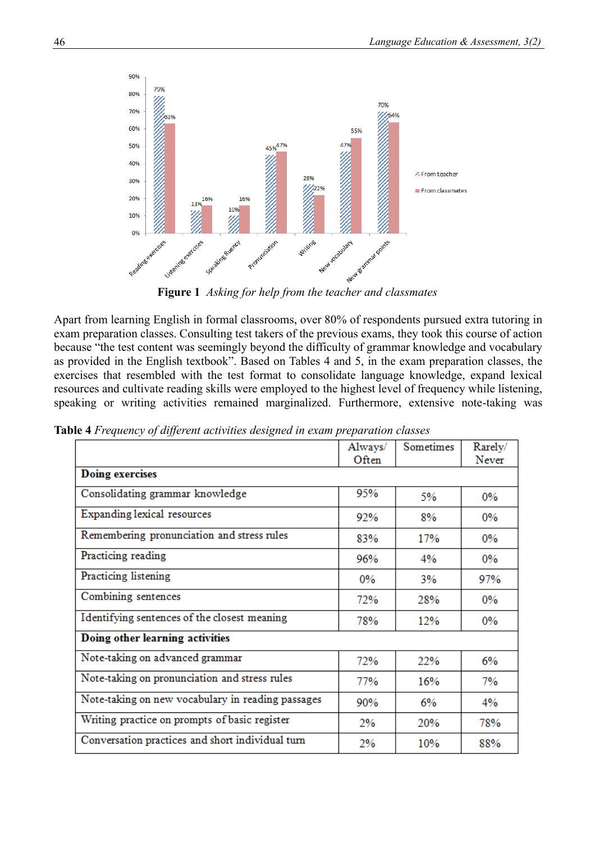

**Figure 1** *Asking for help from the teacher and classmates*

Apart from learning English in formal classrooms, over 80% of respondents pursued extra tutoring in exam preparation classes. Consulting test takers of the previous exams, they took this course of action because "the test content was seemingly beyond the difficulty of grammar knowledge and vocabulary as provided in the English textbook". Based on Tables 4 and 5, in the exam preparation classes, the exercises that resembled with the test format to consolidate language knowledge, expand lexical resources and cultivate reading skills were employed to the highest level of frequency while listening, speaking or writing activities remained marginalized. Furthermore, extensive note-taking was

|                                                   | Always/<br>Often | Sometimes | Rarely/<br>Never |
|---------------------------------------------------|------------------|-----------|------------------|
| <b>Doing exercises</b>                            |                  |           |                  |
| Consolidating grammar knowledge                   | 95%              | 5%        | $0\%$            |
| Expanding lexical resources                       | 92%              | 8%        | $0\%$            |
| Remembering pronunciation and stress rules        | 83%              | 17%       | $0\%$            |
| Practicing reading                                | 96%              | 4%        | $0\%$            |
| Practicing listening                              | $0\%$            | 3%        | 97%              |
| Combining sentences                               | 72%              | 28%       | 0%               |
| Identifying sentences of the closest meaning      | 78%              | 12%       | $0\%$            |
| Doing other learning activities                   |                  |           |                  |
| Note-taking on advanced grammar                   | 72%              | 22%       | 6%               |
| Note-taking on pronunciation and stress rules     | 77%              | 16%       | 7%               |
| Note-taking on new vocabulary in reading passages | 90%              | 6%        | 4%               |
| Writing practice on prompts of basic register     | 2%               | 20%       | 78%              |
| Conversation practices and short individual turn  | 2%               | 10%       | 88%              |

**Table 4** *Frequency of different activities designed in exam preparation classes*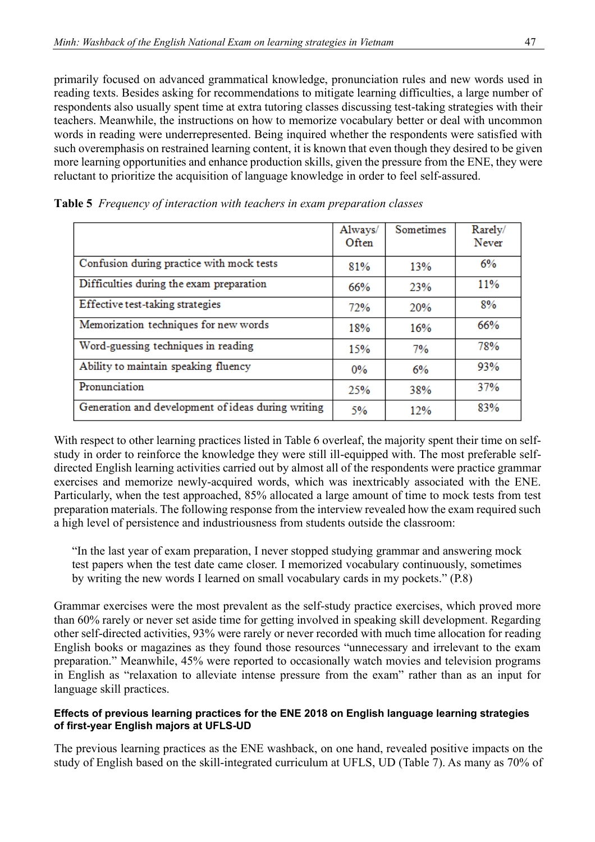primarily focused on advanced grammatical knowledge, pronunciation rules and new words used in reading texts. Besides asking for recommendations to mitigate learning difficulties, a large number of respondents also usually spent time at extra tutoring classes discussing test-taking strategies with their teachers. Meanwhile, the instructions on how to memorize vocabulary better or deal with uncommon words in reading were underrepresented. Being inquired whether the respondents were satisfied with such overemphasis on restrained learning content, it is known that even though they desired to be given more learning opportunities and enhance production skills, given the pressure from the ENE, they were reluctant to prioritize the acquisition of language knowledge in order to feel self-assured.

|                                                    | Always/<br>Often | Sometimes | Rarely/<br>Never |
|----------------------------------------------------|------------------|-----------|------------------|
| Confusion during practice with mock tests          | 81%              | 13%       | 6%               |
| Difficulties during the exam preparation           | 66%              | 23%       | 11%              |
| Effective test-taking strategies                   | 72%              | 20%       | 8%               |
| Memorization techniques for new words              | 18%              | 16%       | 66%              |
| Word-guessing techniques in reading                | 15%              | 7%        | 78%              |
| Ability to maintain speaking fluency               | $0\%$            | 6%        | 93%              |
| Pronunciation                                      | 25%              | 38%       | 37%              |
| Generation and development of ideas during writing | 5%               | 12%       | 83%              |

**Table 5** *Frequency of interaction with teachers in exam preparation classes*

With respect to other learning practices listed in Table 6 overleaf, the majority spent their time on selfstudy in order to reinforce the knowledge they were still ill-equipped with. The most preferable selfdirected English learning activities carried out by almost all of the respondents were practice grammar exercises and memorize newly-acquired words, which was inextricably associated with the ENE. Particularly, when the test approached, 85% allocated a large amount of time to mock tests from test preparation materials. The following response from the interview revealed how the exam required such a high level of persistence and industriousness from students outside the classroom:

"In the last year of exam preparation, I never stopped studying grammar and answering mock test papers when the test date came closer. I memorized vocabulary continuously, sometimes by writing the new words I learned on small vocabulary cards in my pockets." (P.8)

Grammar exercises were the most prevalent as the self-study practice exercises, which proved more than 60% rarely or never set aside time for getting involved in speaking skill development. Regarding other self-directed activities, 93% were rarely or never recorded with much time allocation for reading English books or magazines as they found those resources "unnecessary and irrelevant to the exam preparation." Meanwhile, 45% were reported to occasionally watch movies and television programs in English as "relaxation to alleviate intense pressure from the exam" rather than as an input for language skill practices.

#### **Effects of previous learning practices for the ENE 2018 on English language learning strategies of first-year English majors at UFLS-UD**

The previous learning practices as the ENE washback, on one hand, revealed positive impacts on the study of English based on the skill-integrated curriculum at UFLS, UD (Table 7). As many as 70% of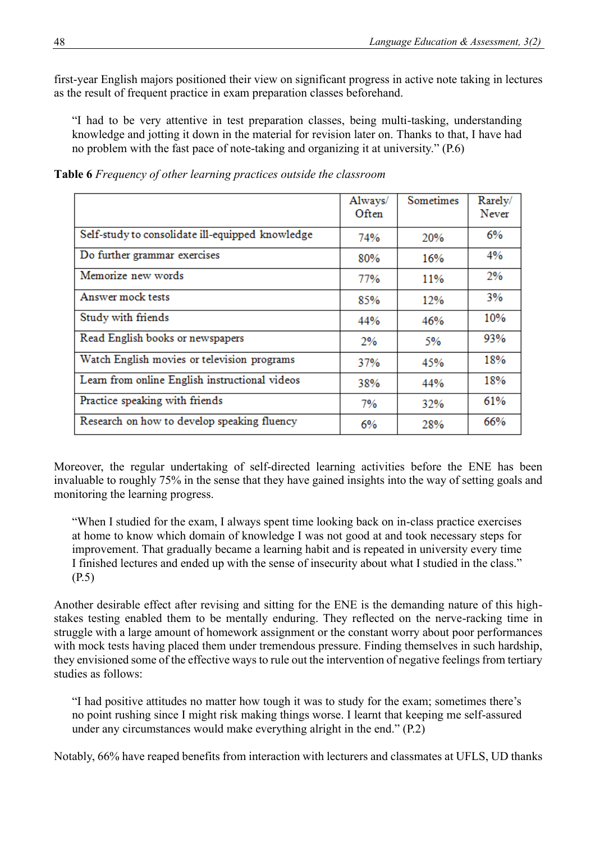first-year English majors positioned their view on significant progress in active note taking in lectures as the result of frequent practice in exam preparation classes beforehand.

"I had to be very attentive in test preparation classes, being multi-tasking, understanding knowledge and jotting it down in the material for revision later on. Thanks to that, I have had no problem with the fast pace of note-taking and organizing it at university." (P.6)

|                                                  | Always/<br>Often | Sometimes | Rarely/<br>Never |
|--------------------------------------------------|------------------|-----------|------------------|
| Self-study to consolidate ill-equipped knowledge | 74%              | 20%       | 6%               |
| Do further grammar exercises                     | 80%              | 16%       | 4%               |
| Memorize new words                               | 77%              | 11%       | 2%               |
| Answer mock tests                                | 85%              | 12%       | 3%               |
| Study with friends                               | 44%              | 46%       | 10%              |
| Read English books or newspapers                 | 2%               | 5%        | 93%              |
| Watch English movies or television programs      | 37%              | 45%       | 18%              |
| Learn from online English instructional videos   | 38%              | 44%       | 18%              |
| Practice speaking with friends                   | 7%               | 32%       | 61%              |
| Research on how to develop speaking fluency      | 6%               | 28%       | 66%              |

**Table 6** *Frequency of other learning practices outside the classroom*

Moreover, the regular undertaking of self-directed learning activities before the ENE has been invaluable to roughly 75% in the sense that they have gained insights into the way of setting goals and monitoring the learning progress.

"When I studied for the exam, I always spent time looking back on in-class practice exercises at home to know which domain of knowledge I was not good at and took necessary steps for improvement. That gradually became a learning habit and is repeated in university every time I finished lectures and ended up with the sense of insecurity about what I studied in the class." (P.5)

Another desirable effect after revising and sitting for the ENE is the demanding nature of this highstakes testing enabled them to be mentally enduring. They reflected on the nerve-racking time in struggle with a large amount of homework assignment or the constant worry about poor performances with mock tests having placed them under tremendous pressure. Finding themselves in such hardship, they envisioned some of the effective ways to rule out the intervention of negative feelings from tertiary studies as follows:

"I had positive attitudes no matter how tough it was to study for the exam; sometimes there's no point rushing since I might risk making things worse. I learnt that keeping me self-assured under any circumstances would make everything alright in the end."  $(P.2)$ 

Notably, 66% have reaped benefits from interaction with lecturers and classmates at UFLS, UD thanks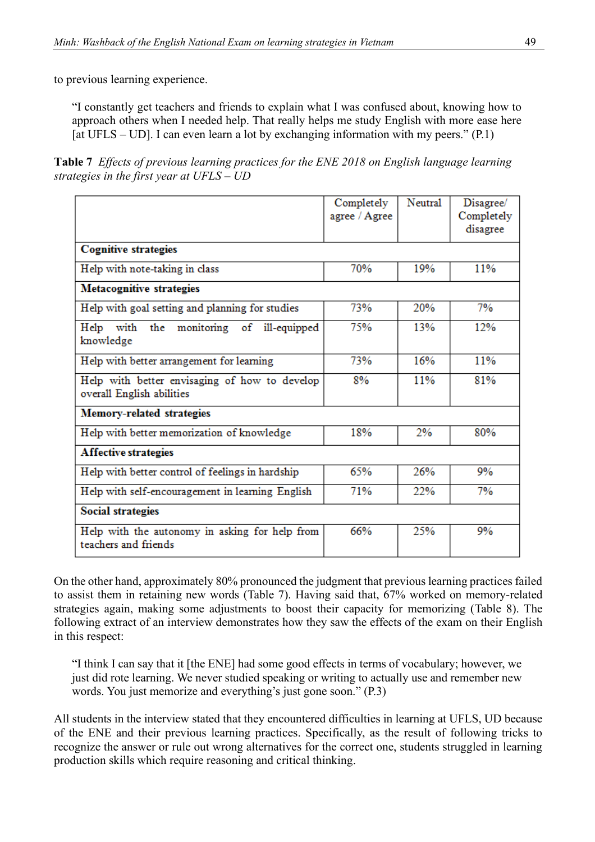to previous learning experience.

"I constantly get teachers and friends to explain what I was confused about, knowing how to approach others when I needed help. That really helps me study English with more ease here [at UFLS – UD]. I can even learn a lot by exchanging information with my peers."  $(P.1)$ 

**Table 7** *Effects of previous learning practices for the ENE 2018 on English language learning strategies in the first year at UFLS – UD*

|                                                                            | Completely<br>agree / Agree | Neutral | Disagree/<br>Completely<br>disagree |
|----------------------------------------------------------------------------|-----------------------------|---------|-------------------------------------|
| <b>Cognitive strategies</b>                                                |                             |         |                                     |
| Help with note-taking in class                                             | 70%                         | 19%     | 11%                                 |
| <b>Metacognitive strategies</b>                                            |                             |         |                                     |
| Help with goal setting and planning for studies                            | 73%                         | 20%     | 7%                                  |
| Help with the monitoring of ill-equipped<br>knowledge                      | 75%                         | 13%     | 12%                                 |
| Help with better arrangement for learning                                  | 73%                         | 16%     | 11%                                 |
| Help with better envisaging of how to develop<br>overall English abilities | 8%                          | 11%     | 81%                                 |
| <b>Memory-related strategies</b>                                           |                             |         |                                     |
| Help with better memorization of knowledge                                 | 18%                         | 2%      | 80%                                 |
| <b>Affective strategies</b>                                                |                             |         |                                     |
| Help with better control of feelings in hardship                           | 65%                         | 26%     | 9%                                  |
| Help with self-encouragement in learning English                           | 71%                         | 22%     | 7%                                  |
| <b>Social strategies</b>                                                   |                             |         |                                     |
| Help with the autonomy in asking for help from<br>teachers and friends     | 66%                         | 25%     | 9%                                  |

On the other hand, approximately 80% pronounced the judgment that previous learning practices failed to assist them in retaining new words (Table 7). Having said that, 67% worked on memory-related strategies again, making some adjustments to boost their capacity for memorizing (Table 8). The following extract of an interview demonstrates how they saw the effects of the exam on their English in this respect:

"I think I can say that it [the ENE] had some good effects in terms of vocabulary; however, we just did rote learning. We never studied speaking or writing to actually use and remember new words. You just memorize and everything's just gone soon." (P.3)

All students in the interview stated that they encountered difficulties in learning at UFLS, UD because of the ENE and their previous learning practices. Specifically, as the result of following tricks to recognize the answer or rule out wrong alternatives for the correct one, students struggled in learning production skills which require reasoning and critical thinking.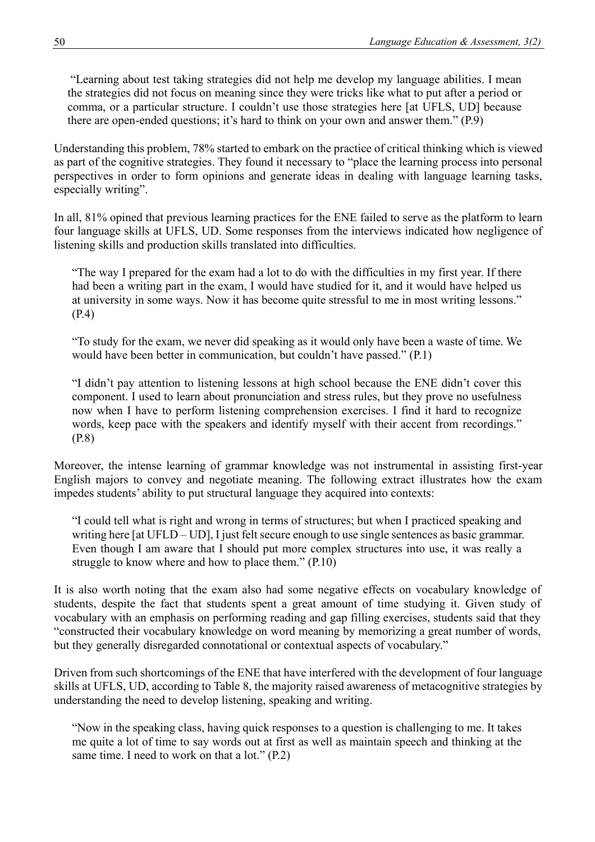"Learning about test taking strategies did not help me develop my language abilities. I mean the strategies did not focus on meaning since they were tricks like what to put after a period or comma, or a particular structure. I couldn't use those strategies here [at UFLS, UD] because there are open-ended questions; it's hard to think on your own and answer them." (P.9)

Understanding this problem, 78% started to embark on the practice of critical thinking which is viewed as part of the cognitive strategies. They found it necessary to "place the learning process into personal perspectives in order to form opinions and generate ideas in dealing with language learning tasks, especially writing".

In all, 81% opined that previous learning practices for the ENE failed to serve as the platform to learn four language skills at UFLS, UD. Some responses from the interviews indicated how negligence of listening skills and production skills translated into difficulties.

"The way I prepared for the exam had a lot to do with the difficulties in my first year. If there had been a writing part in the exam, I would have studied for it, and it would have helped us at university in some ways. Now it has become quite stressful to me in most writing lessons." (P.4)

"To study for the exam, we never did speaking as it would only have been a waste of time. We would have been better in communication, but couldn't have passed." (P.1)

"I didn't pay attention to listening lessons at high school because the ENE didn't cover this component. I used to learn about pronunciation and stress rules, but they prove no usefulness now when I have to perform listening comprehension exercises. I find it hard to recognize words, keep pace with the speakers and identify myself with their accent from recordings." (P.8)

Moreover, the intense learning of grammar knowledge was not instrumental in assisting first-year English majors to convey and negotiate meaning. The following extract illustrates how the exam impedes students' ability to put structural language they acquired into contexts:

"I could tell what is right and wrong in terms of structures; but when I practiced speaking and writing here [at UFLD – UD], I just felt secure enough to use single sentences as basic grammar. Even though I am aware that I should put more complex structures into use, it was really a struggle to know where and how to place them." (P.10)

It is also worth noting that the exam also had some negative effects on vocabulary knowledge of students, despite the fact that students spent a great amount of time studying it. Given study of vocabulary with an emphasis on performing reading and gap filling exercises, students said that they "constructed their vocabulary knowledge on word meaning by memorizing a great number of words, but they generally disregarded connotational or contextual aspects of vocabulary."

Driven from such shortcomings of the ENE that have interfered with the development of four language skills at UFLS, UD, according to Table 8, the majority raised awareness of metacognitive strategies by understanding the need to develop listening, speaking and writing.

"Now in the speaking class, having quick responses to a question is challenging to me. It takes me quite a lot of time to say words out at first as well as maintain speech and thinking at the same time. I need to work on that a lot." (P.2)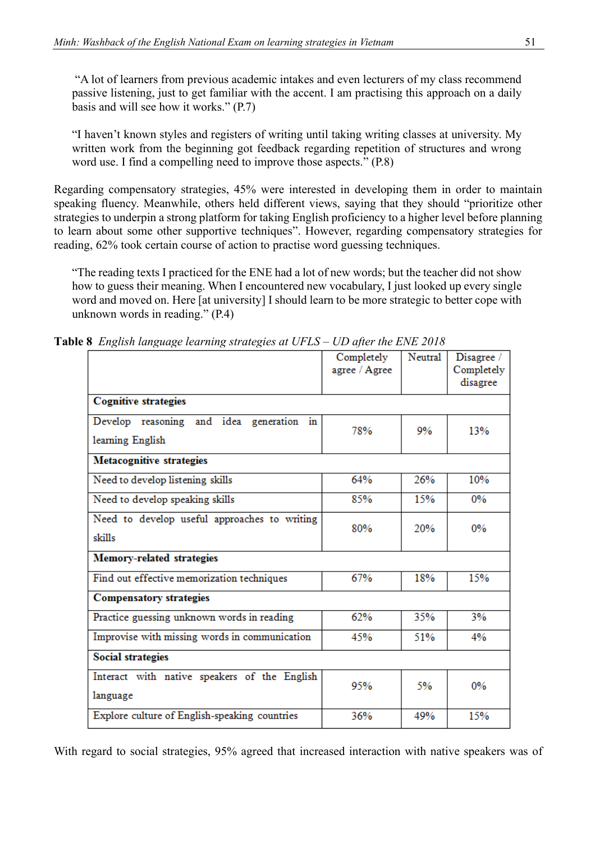"A lot of learners from previous academic intakes and even lecturers of my class recommend passive listening, just to get familiar with the accent. I am practising this approach on a daily basis and will see how it works." (P.7)

"I haven't known styles and registers of writing until taking writing classes at university. My written work from the beginning got feedback regarding repetition of structures and wrong word use. I find a compelling need to improve those aspects." (P.8)

Regarding compensatory strategies, 45% were interested in developing them in order to maintain speaking fluency. Meanwhile, others held different views, saying that they should "prioritize other strategies to underpin a strong platform for taking English proficiency to a higher level before planning to learn about some other supportive techniques". However, regarding compensatory strategies for reading, 62% took certain course of action to practise word guessing techniques.

"The reading texts I practiced for the ENE had a lot of new words; but the teacher did not show how to guess their meaning. When I encountered new vocabulary, I just looked up every single word and moved on. Here [at university] I should learn to be more strategic to better cope with unknown words in reading." (P.4)

|                                               | Completely<br>agree / Agree | Neutral | Disagree /<br>Completely<br>disagree |
|-----------------------------------------------|-----------------------------|---------|--------------------------------------|
| <b>Cognitive strategies</b>                   |                             |         |                                      |
| Develop reasoning and idea generation in      | 78%                         | 9%      | 13%                                  |
| learning English                              |                             |         |                                      |
| Metacognitive strategies                      |                             |         |                                      |
| Need to develop listening skills              | 64%                         | 26%     | 10%                                  |
| Need to develop speaking skills               | 85%                         | 15%     | $0\%$                                |
| Need to develop useful approaches to writing  | 80%                         | 20%     | $0\%$                                |
| skills                                        |                             |         |                                      |
| Memory-related strategies                     |                             |         |                                      |
| Find out effective memorization techniques    | 67%                         | 18%     | 15%                                  |
| <b>Compensatory strategies</b>                |                             |         |                                      |
| Practice guessing unknown words in reading    | 62%                         | 35%     | 3%                                   |
| Improvise with missing words in communication | 45%                         | 51%     | 4%                                   |
| <b>Social strategies</b>                      |                             |         |                                      |
| Interact with native speakers of the English  | 95%                         | 5%      | 0%                                   |
| language                                      |                             |         |                                      |
| Explore culture of English-speaking countries | 36%                         | 49%     | 15%                                  |

**Table 8** *English language learning strategies at UFLS – UD after the ENE 2018*

With regard to social strategies, 95% agreed that increased interaction with native speakers was of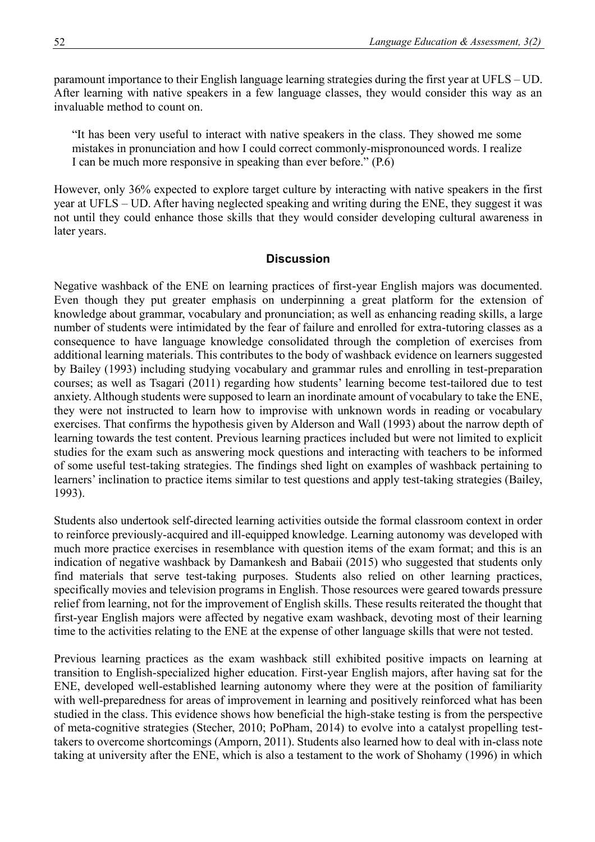paramount importance to their English language learning strategies during the first year at UFLS – UD. After learning with native speakers in a few language classes, they would consider this way as an invaluable method to count on.

"It has been very useful to interact with native speakers in the class. They showed me some mistakes in pronunciation and how I could correct commonly-mispronounced words. I realize I can be much more responsive in speaking than ever before." (P.6)

However, only 36% expected to explore target culture by interacting with native speakers in the first year at UFLS – UD. After having neglected speaking and writing during the ENE, they suggest it was not until they could enhance those skills that they would consider developing cultural awareness in later years.

#### **Discussion**

Negative washback of the ENE on learning practices of first-year English majors was documented. Even though they put greater emphasis on underpinning a great platform for the extension of knowledge about grammar, vocabulary and pronunciation; as well as enhancing reading skills, a large number of students were intimidated by the fear of failure and enrolled for extra-tutoring classes as a consequence to have language knowledge consolidated through the completion of exercises from additional learning materials. This contributes to the body of washback evidence on learners suggested by Bailey (1993) including studying vocabulary and grammar rules and enrolling in test-preparation courses; as well as Tsagari (2011) regarding how students' learning become test-tailored due to test anxiety. Although students were supposed to learn an inordinate amount of vocabulary to take the ENE, they were not instructed to learn how to improvise with unknown words in reading or vocabulary exercises. That confirms the hypothesis given by Alderson and Wall (1993) about the narrow depth of learning towards the test content. Previous learning practices included but were not limited to explicit studies for the exam such as answering mock questions and interacting with teachers to be informed of some useful test-taking strategies. The findings shed light on examples of washback pertaining to learners' inclination to practice items similar to test questions and apply test-taking strategies (Bailey, 1993).

Students also undertook self-directed learning activities outside the formal classroom context in order to reinforce previously-acquired and ill-equipped knowledge. Learning autonomy was developed with much more practice exercises in resemblance with question items of the exam format; and this is an indication of negative washback by Damankesh and Babaii (2015) who suggested that students only find materials that serve test-taking purposes. Students also relied on other learning practices, specifically movies and television programs in English. Those resources were geared towards pressure relief from learning, not for the improvement of English skills. These results reiterated the thought that first-year English majors were affected by negative exam washback, devoting most of their learning time to the activities relating to the ENE at the expense of other language skills that were not tested.

Previous learning practices as the exam washback still exhibited positive impacts on learning at transition to English-specialized higher education. First-year English majors, after having sat for the ENE, developed well-established learning autonomy where they were at the position of familiarity with well-preparedness for areas of improvement in learning and positively reinforced what has been studied in the class. This evidence shows how beneficial the high-stake testing is from the perspective of meta-cognitive strategies (Stecher, 2010; PoPham, 2014) to evolve into a catalyst propelling testtakers to overcome shortcomings (Amporn, 2011). Students also learned how to deal with in-class note taking at university after the ENE, which is also a testament to the work of Shohamy (1996) in which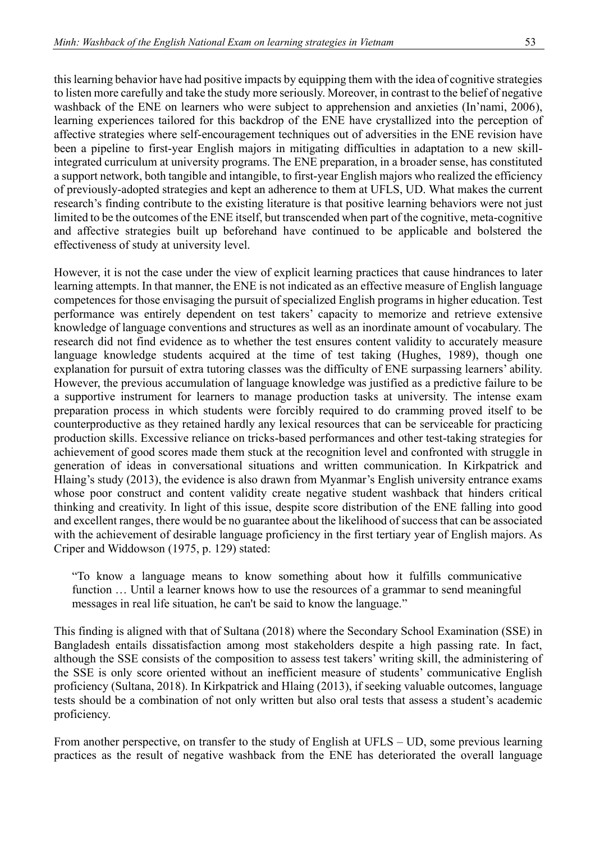this learning behavior have had positive impacts by equipping them with the idea of cognitive strategies to listen more carefully and take the study more seriously. Moreover, in contrast to the belief of negative washback of the ENE on learners who were subject to apprehension and anxieties (In'nami, 2006), learning experiences tailored for this backdrop of the ENE have crystallized into the perception of affective strategies where self-encouragement techniques out of adversities in the ENE revision have been a pipeline to first-year English majors in mitigating difficulties in adaptation to a new skillintegrated curriculum at university programs. The ENE preparation, in a broader sense, has constituted a support network, both tangible and intangible, to first-year English majors who realized the efficiency of previously-adopted strategies and kept an adherence to them at UFLS, UD. What makes the current research's finding contribute to the existing literature is that positive learning behaviors were not just limited to be the outcomes of the ENE itself, but transcended when part of the cognitive, meta-cognitive and affective strategies built up beforehand have continued to be applicable and bolstered the effectiveness of study at university level.

However, it is not the case under the view of explicit learning practices that cause hindrances to later learning attempts. In that manner, the ENE is not indicated as an effective measure of English language competences for those envisaging the pursuit of specialized English programs in higher education. Test performance was entirely dependent on test takers' capacity to memorize and retrieve extensive knowledge of language conventions and structures as well as an inordinate amount of vocabulary. The research did not find evidence as to whether the test ensures content validity to accurately measure language knowledge students acquired at the time of test taking (Hughes, 1989), though one explanation for pursuit of extra tutoring classes was the difficulty of ENE surpassing learners' ability. However, the previous accumulation of language knowledge was justified as a predictive failure to be a supportive instrument for learners to manage production tasks at university. The intense exam preparation process in which students were forcibly required to do cramming proved itself to be counterproductive as they retained hardly any lexical resources that can be serviceable for practicing production skills. Excessive reliance on tricks-based performances and other test-taking strategies for achievement of good scores made them stuck at the recognition level and confronted with struggle in generation of ideas in conversational situations and written communication. In Kirkpatrick and Hlaing's study (2013), the evidence is also drawn from Myanmar's English university entrance exams whose poor construct and content validity create negative student washback that hinders critical thinking and creativity. In light of this issue, despite score distribution of the ENE falling into good and excellent ranges, there would be no guarantee about the likelihood of success that can be associated with the achievement of desirable language proficiency in the first tertiary year of English majors. As Criper and Widdowson (1975, p. 129) stated:

"To know a language means to know something about how it fulfills communicative function ... Until a learner knows how to use the resources of a grammar to send meaningful messages in real life situation, he can't be said to know the language."

This finding is aligned with that of Sultana (2018) where the Secondary School Examination (SSE) in Bangladesh entails dissatisfaction among most stakeholders despite a high passing rate. In fact, although the SSE consists of the composition to assess test takers' writing skill, the administering of the SSE is only score oriented without an inefficient measure of students' communicative English proficiency (Sultana, 2018). In Kirkpatrick and Hlaing (2013), if seeking valuable outcomes, language tests should be a combination of not only written but also oral tests that assess a student's academic proficiency.

From another perspective, on transfer to the study of English at UFLS – UD, some previous learning practices as the result of negative washback from the ENE has deteriorated the overall language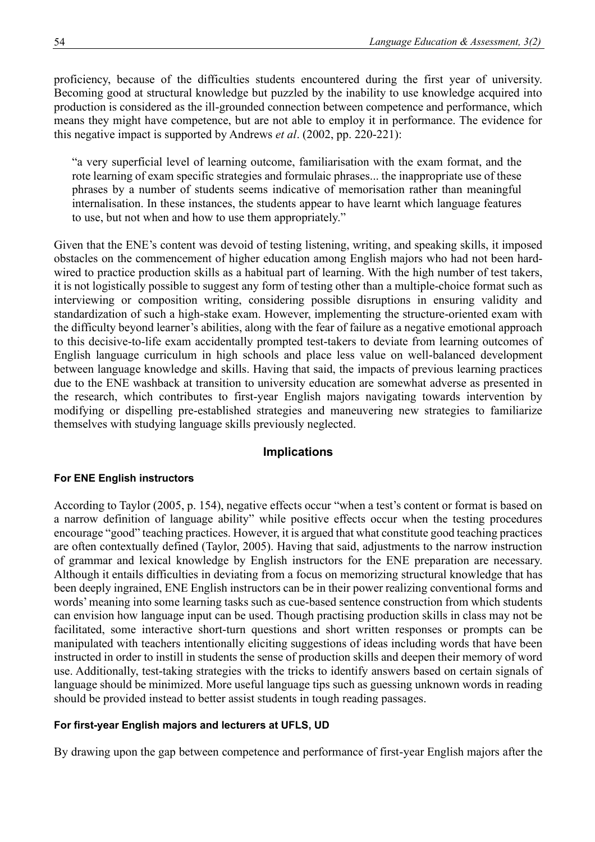proficiency, because of the difficulties students encountered during the first year of university. Becoming good at structural knowledge but puzzled by the inability to use knowledge acquired into production is considered as the ill-grounded connection between competence and performance, which means they might have competence, but are not able to employ it in performance. The evidence for this negative impact is supported by Andrews *et al*. (2002, pp. 220-221):

"a very superficial level of learning outcome, familiarisation with the exam format, and the rote learning of exam specific strategies and formulaic phrases... the inappropriate use of these phrases by a number of students seems indicative of memorisation rather than meaningful internalisation. In these instances, the students appear to have learnt which language features to use, but not when and how to use them appropriately."

Given that the ENE's content was devoid of testing listening, writing, and speaking skills, it imposed obstacles on the commencement of higher education among English majors who had not been hardwired to practice production skills as a habitual part of learning. With the high number of test takers, it is not logistically possible to suggest any form of testing other than a multiple-choice format such as interviewing or composition writing, considering possible disruptions in ensuring validity and standardization of such a high-stake exam. However, implementing the structure-oriented exam with the difficulty beyond learner's abilities, along with the fear of failure as a negative emotional approach to this decisive-to-life exam accidentally prompted test-takers to deviate from learning outcomes of English language curriculum in high schools and place less value on well-balanced development between language knowledge and skills. Having that said, the impacts of previous learning practices due to the ENE washback at transition to university education are somewhat adverse as presented in the research, which contributes to first-year English majors navigating towards intervention by modifying or dispelling pre-established strategies and maneuvering new strategies to familiarize themselves with studying language skills previously neglected.

## **Implications**

#### **For ENE English instructors**

According to Taylor (2005, p. 154), negative effects occur "when a test's content or format is based on a narrow definition of language ability" while positive effects occur when the testing procedures encourage "good" teaching practices. However, it is argued that what constitute good teaching practices are often contextually defined (Taylor, 2005). Having that said, adjustments to the narrow instruction of grammar and lexical knowledge by English instructors for the ENE preparation are necessary. Although it entails difficulties in deviating from a focus on memorizing structural knowledge that has been deeply ingrained, ENE English instructors can be in their power realizing conventional forms and words' meaning into some learning tasks such as cue-based sentence construction from which students can envision how language input can be used. Though practising production skills in class may not be facilitated, some interactive short-turn questions and short written responses or prompts can be manipulated with teachers intentionally eliciting suggestions of ideas including words that have been instructed in order to instill in students the sense of production skills and deepen their memory of word use. Additionally, test-taking strategies with the tricks to identify answers based on certain signals of language should be minimized. More useful language tips such as guessing unknown words in reading should be provided instead to better assist students in tough reading passages.

#### **For first-year English majors and lecturers at UFLS, UD**

By drawing upon the gap between competence and performance of first-year English majors after the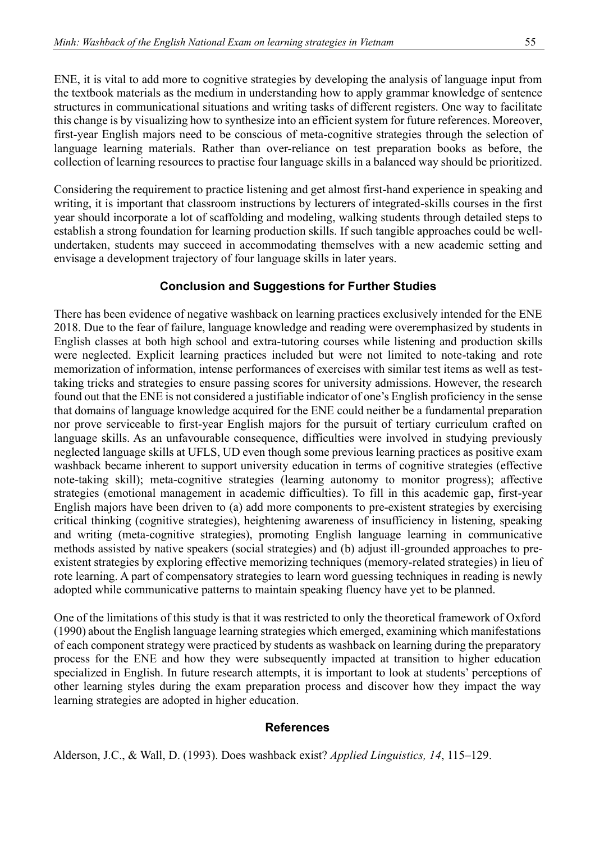ENE, it is vital to add more to cognitive strategies by developing the analysis of language input from the textbook materials as the medium in understanding how to apply grammar knowledge of sentence structures in communicational situations and writing tasks of different registers. One way to facilitate this change is by visualizing how to synthesize into an efficient system for future references. Moreover, first-year English majors need to be conscious of meta-cognitive strategies through the selection of language learning materials. Rather than over-reliance on test preparation books as before, the collection of learning resources to practise four language skills in a balanced way should be prioritized.

Considering the requirement to practice listening and get almost first-hand experience in speaking and writing, it is important that classroom instructions by lecturers of integrated-skills courses in the first year should incorporate a lot of scaffolding and modeling, walking students through detailed steps to establish a strong foundation for learning production skills. If such tangible approaches could be wellundertaken, students may succeed in accommodating themselves with a new academic setting and envisage a development trajectory of four language skills in later years.

## **Conclusion and Suggestions for Further Studies**

There has been evidence of negative washback on learning practices exclusively intended for the ENE 2018. Due to the fear of failure, language knowledge and reading were overemphasized by students in English classes at both high school and extra-tutoring courses while listening and production skills were neglected. Explicit learning practices included but were not limited to note-taking and rote memorization of information, intense performances of exercises with similar test items as well as testtaking tricks and strategies to ensure passing scores for university admissions. However, the research found out that the ENE is not considered a justifiable indicator of one's English proficiency in the sense that domains of language knowledge acquired for the ENE could neither be a fundamental preparation nor prove serviceable to first-year English majors for the pursuit of tertiary curriculum crafted on language skills. As an unfavourable consequence, difficulties were involved in studying previously neglected language skills at UFLS, UD even though some previous learning practices as positive exam washback became inherent to support university education in terms of cognitive strategies (effective note-taking skill); meta-cognitive strategies (learning autonomy to monitor progress); affective strategies (emotional management in academic difficulties). To fill in this academic gap, first-year English majors have been driven to (a) add more components to pre-existent strategies by exercising critical thinking (cognitive strategies), heightening awareness of insufficiency in listening, speaking and writing (meta-cognitive strategies), promoting English language learning in communicative methods assisted by native speakers (social strategies) and (b) adjust ill-grounded approaches to preexistent strategies by exploring effective memorizing techniques (memory-related strategies) in lieu of rote learning. A part of compensatory strategies to learn word guessing techniques in reading is newly adopted while communicative patterns to maintain speaking fluency have yet to be planned.

One of the limitations of this study is that it was restricted to only the theoretical framework of Oxford (1990) about the English language learning strategies which emerged, examining which manifestations of each component strategy were practiced by students as washback on learning during the preparatory process for the ENE and how they were subsequently impacted at transition to higher education specialized in English. In future research attempts, it is important to look at students' perceptions of other learning styles during the exam preparation process and discover how they impact the way learning strategies are adopted in higher education.

## **References**

Alderson, J.C., & Wall, D. (1993). Does washback exist? *Applied Linguistics, 14*, 115–129.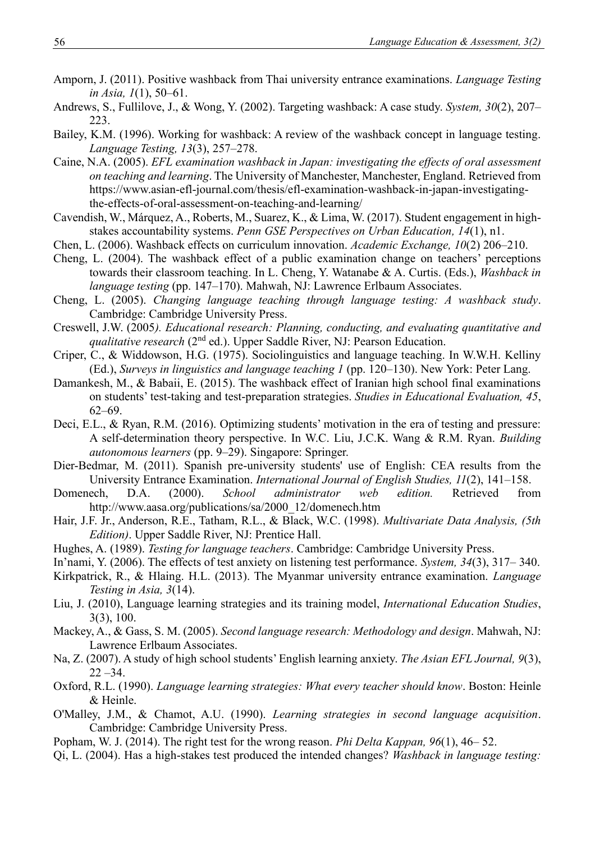- Amporn, J. (2011). Positive washback from Thai university entrance examinations. *Language Testing in Asia, 1*(1), 50–61.
- Andrews, S., Fullilove, J., & Wong, Y. (2002). Targeting washback: A case study. *System, 30*(2), 207– 223.
- Bailey, K.M. (1996). Working for washback: A review of the washback concept in language testing. *Language Testing, 13*(3), 257–278.
- Caine, N.A. (2005). *EFL examination washback in Japan: investigating the effects of oral assessment on teaching and learning*. The University of Manchester, Manchester, England. Retrieved from [https://www.asian-efl-journal.com/thesis/efl-examination-washback-in-japan-investigating](https://www.asian-efl-journal.com/thesis/efl-examination-washback-in-japan-investigating-the-effects-of-oral-assessment-on-teaching-and-learning/)[the-effects-of-oral-assessment-on-teaching-and-learning/](https://www.asian-efl-journal.com/thesis/efl-examination-washback-in-japan-investigating-the-effects-of-oral-assessment-on-teaching-and-learning/)
- Cavendish, W., Márquez, A., Roberts, M., Suarez, K., & Lima, W. (2017). Student engagement in highstakes accountability systems. *Penn GSE Perspectives on Urban Education, 14*(1), n1.
- Chen, L. (2006). Washback effects on curriculum innovation. *Academic Exchange, 10*(2) 206–210.
- Cheng, L. (2004). The washback effect of a public examination change on teachers' perceptions towards their classroom teaching. In L. Cheng, Y. Watanabe & A. Curtis. (Eds.), *Washback in language testing* (pp. 147–170). Mahwah, NJ: Lawrence Erlbaum Associates.
- Cheng, L. (2005). *Changing language teaching through language testing: A washback study*. Cambridge: Cambridge University Press.
- Creswell, J.W. (2005*). Educational research: Planning, conducting, and evaluating quantitative and qualitative research* (2<sup>nd</sup> ed.). Upper Saddle River, NJ: Pearson Education.
- Criper, C., & Widdowson, H.G. (1975). Sociolinguistics and language teaching. In W.W.H. Kelliny (Ed.), *Surveys in linguistics and language teaching 1* (pp. 120–130). New York: Peter Lang.
- Damankesh, M., & Babaii, E. (2015). The washback effect of Iranian high school final examinations on students' test-taking and test-preparation strategies. *Studies in Educational Evaluation, 45*, 62–69.
- Deci, E.L., & Ryan, R.M. (2016). Optimizing students' motivation in the era of testing and pressure: A self-determination theory perspective. In W.C. Liu, J.C.K. Wang & R.M. Ryan. *Building autonomous learners* (pp. 9–29). Singapore: Springer.
- Dier-Bedmar, M. (2011). Spanish pre-university students' use of English: CEA results from the University Entrance Examination. *International Journal of English Studies, 11*(2), 141–158.
- Domenech, D.A. (2000). *School administrator web edition.* Retrieved from [http://www.aasa.org/publications/sa/2000\\_12/domenech.htm](http://www.aasa.org/publications/sa/2000_12/domenech.htm)
- Hair, J.F. Jr., Anderson, R.E., Tatham, R.L., & Black, W.C. (1998). *Multivariate Data Analysis, (5th Edition)*. Upper Saddle River, NJ: Prentice Hall.
- Hughes, A. (1989). *Testing for language teachers*. Cambridge: Cambridge University Press.
- In'nami, Y. (2006). The effects of test anxiety on listening test performance. *System, 34*(3), 317– 340.
- Kirkpatrick, R., & Hlaing. H.L. (2013). The Myanmar university entrance examination. *Language Testing in Asia, 3*(14).
- Liu, J. (2010), Language learning strategies and its training model, *International Education Studies*, 3(3), 100.
- Mackey, A., & Gass, S. M. (2005). *Second language research: Methodology and design*. Mahwah, NJ: Lawrence Erlbaum Associates.
- Na, Z. (2007). A study of high school students' English learning anxiety. *The Asian EFL Journal, 9*(3),  $22 - 34.$
- Oxford, R.L. (1990). *Language learning strategies: What every teacher should know*. Boston: Heinle & Heinle.
- O'Malley, J.M., & Chamot, A.U. (1990). *Learning strategies in second language acquisition*. Cambridge: Cambridge University Press.
- Popham, W. J. (2014). The right test for the wrong reason. *Phi Delta Kappan, 96*(1), 46– 52.
- Qi, L. (2004). Has a high-stakes test produced the intended changes? *Washback in language testing:*